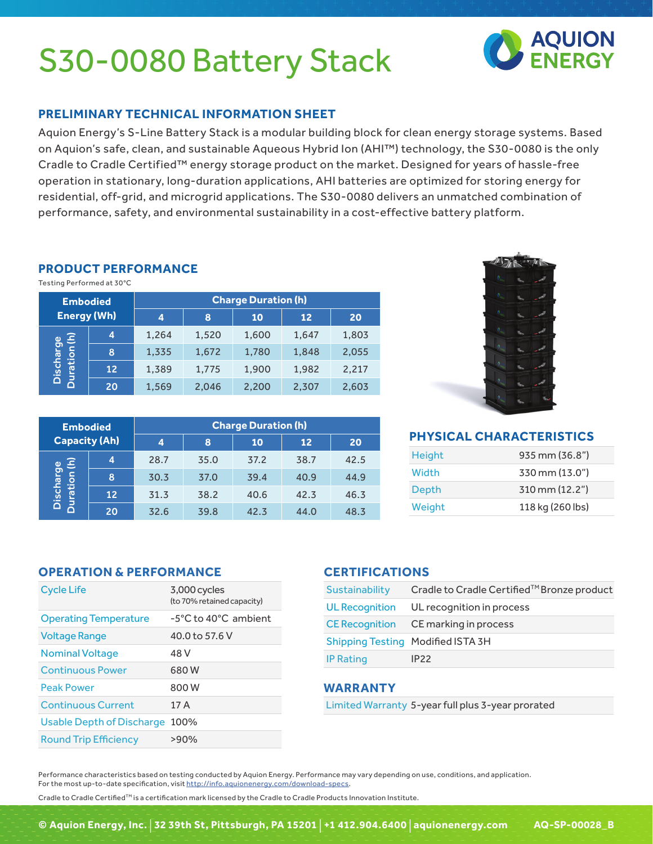# S30-0080 Battery Stack



# **PRELIMINARY TECHNICAL INFORMATION SHEET**

Aquion Energy's S-Line Battery Stack is a modular building block for clean energy storage systems. Based on Aquion's safe, clean, and sustainable Aqueous Hybrid Ion (AHI™) technology, the S30-0080 is the only Cradle to Cradle Certified™ energy storage product on the market. Designed for years of hassle-free operation in stationary, long-duration applications, AHI batteries are optimized for storing energy for residential, off-grid, and microgrid applications. The S30-0080 delivers an unmatched combination of performance, safety, and environmental sustainability in a cost-effective battery platform.

### **PRODUCT PERFORMANCE**

| Testing Performed at 30°C |  |  |
|---------------------------|--|--|
|                           |  |  |

| <b>Embodied</b><br><b>Energy (Wh)</b> |    | <b>Charge Duration (h)</b> |       |       |       |       |
|---------------------------------------|----|----------------------------|-------|-------|-------|-------|
|                                       |    | 4                          | 8     | 10    | 12    | 20    |
|                                       | 4  | 1,264                      | 1,520 | 1,600 | 1,647 | 1,803 |
|                                       | 8  | 1,335                      | 1,672 | 1,780 | 1,848 | 2,055 |
| Discharge<br>Duration (h)             | 12 | 1,389                      | 1,775 | 1,900 | 1,982 | 2,217 |
|                                       | 20 | 1,569                      | 2,046 | 2,200 | 2,307 | 2,603 |

| <b>Embodied</b><br><b>Capacity (Ah)</b> |    | <b>Charge Duration (h)</b> |      |      |      |      |
|-----------------------------------------|----|----------------------------|------|------|------|------|
|                                         |    | 4                          | 8    | 10   | 12   | 20   |
|                                         | 4  | 28.7                       | 35.0 | 37.2 | 38.7 | 42.5 |
|                                         | 8  | 30.3                       | 37.0 | 39.4 | 40.9 | 44.9 |
| Discharge<br>Duration (h)               | 12 | 31.3                       | 38.2 | 40.6 | 42.3 | 46.3 |
|                                         | 20 | 32.6                       | 39.8 | 42.3 | 44.0 | 48.3 |



## **PHYSICAL CHARACTERISTICS**

| Height | $935$ mm $(36.8")$ |
|--------|--------------------|
| Width  | 330 mm (13.0")     |
| Depth  | 310 mm (12.2")     |
| Weight | 118 kg (260 lbs)   |

#### **OPERATION & PERFORMANCE**

| <b>Cycle Life</b>              | 3,000 cycles<br>(to 70% retained capacity) |
|--------------------------------|--------------------------------------------|
| <b>Operating Temperature</b>   | -5°C to 40°C ambient                       |
| <b>Voltage Range</b>           | 40.0 to 57.6 V                             |
| <b>Nominal Voltage</b>         | 48 V                                       |
| <b>Continuous Power</b>        | 680 W                                      |
| <b>Peak Power</b>              | 800 W                                      |
| <b>Continuous Current</b>      | 17 A                                       |
| Usable Depth of Discharge 100% |                                            |
| <b>Round Trip Efficiency</b>   | $>90\%$                                    |

#### **CERTIFICATIONS**

| Sustainability   | Cradle to Cradle Certified <sup>™</sup> Bronze product |
|------------------|--------------------------------------------------------|
| UL Recognition   | UL recognition in process                              |
|                  | CE Recognition CE marking in process                   |
|                  | Shipping Testing Modified ISTA 3H                      |
| <b>IP Rating</b> | IP22                                                   |

# **WARRANTY**

Limited Warranty 5-year full plus 3-year prorated

Performance characteristics based on testing conducted by Aquion Energy. Performance may vary depending on use, conditions, and application. For the most up-to-date specification, visit http://info.aquionenergy.com/download-specs.

Cradle to Cradle Certified™ is a certification mark licensed by the Cradle to Cradle Products Innovation Institute.